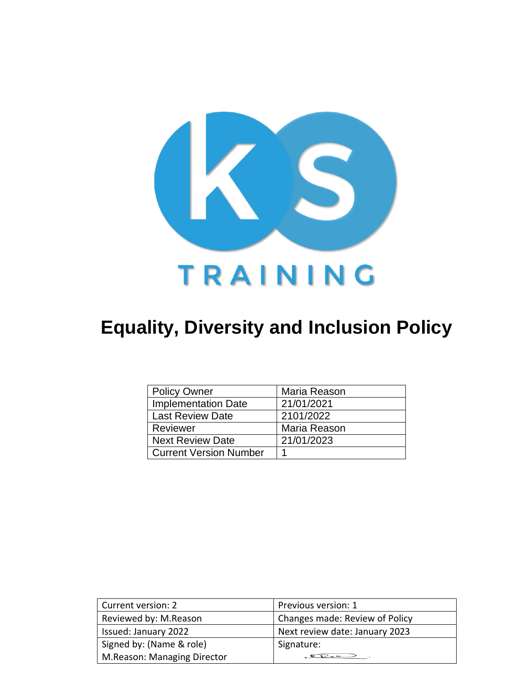

# **Equality, Diversity and Inclusion Policy**

| <b>Policy Owner</b>           | Maria Reason |
|-------------------------------|--------------|
| <b>Implementation Date</b>    | 21/01/2021   |
| <b>Last Review Date</b>       | 2101/2022    |
| Reviewer                      | Maria Reason |
| <b>Next Review Date</b>       | 21/01/2023   |
| <b>Current Version Number</b> |              |

| Current version: 2          | Previous version: 1            |
|-----------------------------|--------------------------------|
|                             |                                |
| Reviewed by: M.Reason       | Changes made: Review of Policy |
| Issued: January 2022        | Next review date: January 2023 |
| Signed by: (Name & role)    | Signature:                     |
| M.Reason: Managing Director |                                |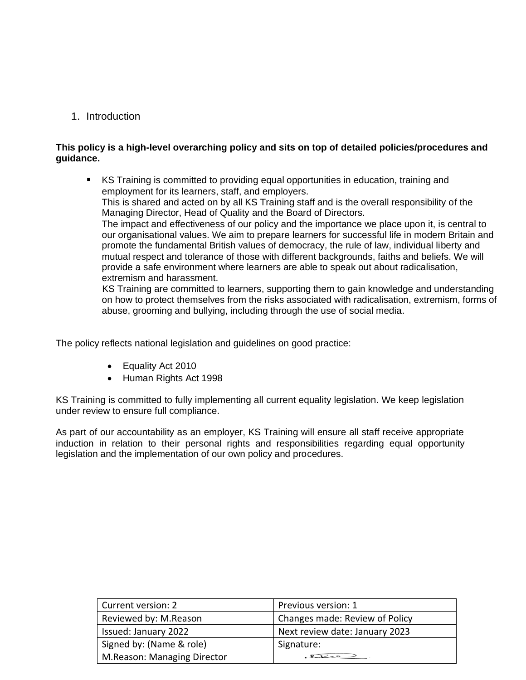1. Introduction

## **This policy is a high-level overarching policy and sits on top of detailed policies/procedures and guidance.**

■ KS Training is committed to providing equal opportunities in education, training and employment for its learners, staff, and employers. This is shared and acted on by all KS Training staff and is the overall responsibility of the Managing Director, Head of Quality and the Board of Directors. The impact and effectiveness of our policy and the importance we place upon it, is central to our organisational values. We aim to prepare learners for successful life in modern Britain and promote the fundamental British values of democracy, the rule of law, individual liberty and mutual respect and tolerance of those with different backgrounds, faiths and beliefs. We will provide a safe environment where learners are able to speak out about radicalisation, extremism and harassment. KS Training are committed to learners, supporting them to gain knowledge and understanding

on how to protect themselves from the risks associated with radicalisation, extremism, forms of abuse, grooming and bullying, including through the use of social media.

The policy reflects national legislation and guidelines on good practice:

- Equality Act 2010
- Human Rights Act 1998

KS Training is committed to fully implementing all current equality legislation. We keep legislation under review to ensure full compliance.

As part of our accountability as an employer, KS Training will ensure all staff receive appropriate induction in relation to their personal rights and responsibilities regarding equal opportunity legislation and the implementation of our own policy and procedures.

| Current version: 2          | Previous version: 1            |
|-----------------------------|--------------------------------|
| Reviewed by: M.Reason       | Changes made: Review of Policy |
| Issued: January 2022        | Next review date: January 2023 |
| Signed by: (Name & role)    | Signature:                     |
| M.Reason: Managing Director |                                |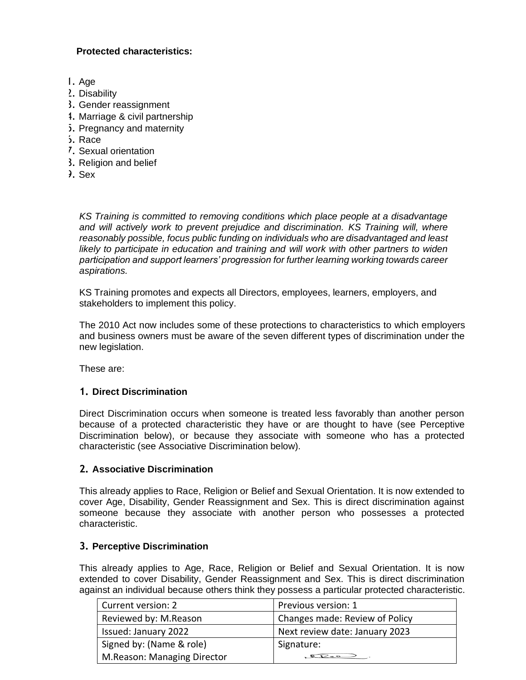# **Protected characteristics:**

- 1. Age
- 2. Disability
- 3. Gender reassignment
- 4. Marriage & civil partnership
- 5. Pregnancy and maternity
- 6. Race
- 7. Sexual orientation
- 8. Religion and belief
- 9. Sex

*KS Training is committed to removing conditions which place people at a disadvantage and will actively work to prevent prejudice and discrimination. KS Training will, where reasonably possible, focus public funding on individuals who are disadvantaged and least*  likely to participate in education and training and will work with other partners to widen *participation and support learners' progression for further learning working towards career aspirations.*

KS Training promotes and expects all Directors, employees, learners, employers, and stakeholders to implement this policy.

The 2010 Act now includes some of these protections to characteristics to which employers and business owners must be aware of the seven different types of discrimination under the new legislation.

These are:

# **1. Direct Discrimination**

Direct Discrimination occurs when someone is treated less favorably than another person because of a protected characteristic they have or are thought to have (see Perceptive Discrimination below), or because they associate with someone who has a protected characteristic (see Associative Discrimination below).

## **2. Associative Discrimination**

This already applies to Race, Religion or Belief and Sexual Orientation. It is now extended to cover Age, Disability, Gender Reassignment and Sex. This is direct discrimination against someone because they associate with another person who possesses a protected characteristic.

## **3. Perceptive Discrimination**

This already applies to Age, Race, Religion or Belief and Sexual Orientation. It is now extended to cover Disability, Gender Reassignment and Sex. This is direct discrimination against an individual because others think they possess a particular protected characteristic.

| Current version: 2          | Previous version: 1            |
|-----------------------------|--------------------------------|
| Reviewed by: M.Reason       | Changes made: Review of Policy |
| Issued: January 2022        | Next review date: January 2023 |
| Signed by: (Name & role)    | Signature:                     |
| M.Reason: Managing Director |                                |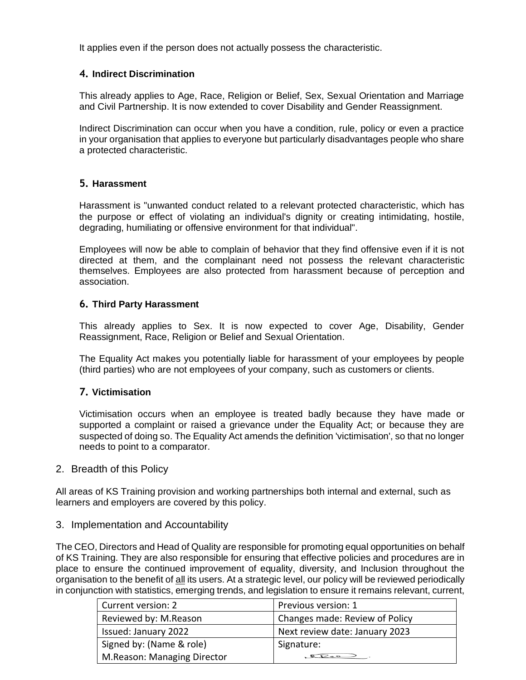It applies even if the person does not actually possess the characteristic.

# **4. Indirect Discrimination**

This already applies to Age, Race, Religion or Belief, Sex, Sexual Orientation and Marriage and Civil Partnership. It is now extended to cover Disability and Gender Reassignment.

Indirect Discrimination can occur when you have a condition, rule, policy or even a practice in your organisation that applies to everyone but particularly disadvantages people who share a protected characteristic.

## **5. Harassment**

Harassment is "unwanted conduct related to a relevant protected characteristic, which has the purpose or effect of violating an individual's dignity or creating intimidating, hostile, degrading, humiliating or offensive environment for that individual".

Employees will now be able to complain of behavior that they find offensive even if it is not directed at them, and the complainant need not possess the relevant characteristic themselves. Employees are also protected from harassment because of perception and association.

## **6. Third Party Harassment**

This already applies to Sex. It is now expected to cover Age, Disability, Gender Reassignment, Race, Religion or Belief and Sexual Orientation.

The Equality Act makes you potentially liable for harassment of your employees by people (third parties) who are not employees of your company, such as customers or clients.

# **7. Victimisation**

Victimisation occurs when an employee is treated badly because they have made or supported a complaint or raised a grievance under the Equality Act; or because they are suspected of doing so. The Equality Act amends the definition 'victimisation', so that no longer needs to point to a comparator.

## 2. Breadth of this Policy

All areas of KS Training provision and working partnerships both internal and external, such as learners and employers are covered by this policy.

## 3. Implementation and Accountability

The CEO, Directors and Head of Quality are responsible for promoting equal opportunities on behalf of KS Training. They are also responsible for ensuring that effective policies and procedures are in place to ensure the continued improvement of equality, diversity, and Inclusion throughout the organisation to the benefit of all its users. At a strategic level, our policy will be reviewed periodically in conjunction with statistics, emerging trends, and legislation to ensure it remains relevant, current,

| Current version: 2          | Previous version: 1            |
|-----------------------------|--------------------------------|
| Reviewed by: M.Reason       | Changes made: Review of Policy |
| Issued: January 2022        | Next review date: January 2023 |
| Signed by: (Name & role)    | Signature:                     |
| M.Reason: Managing Director |                                |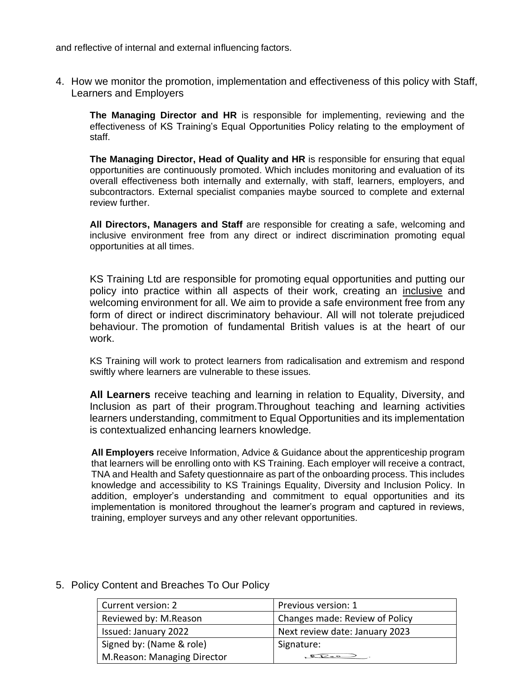and reflective of internal and external influencing factors.

4. How we monitor the promotion, implementation and effectiveness of this policy with Staff, Learners and Employers

**The Managing Director and HR** is responsible for implementing, reviewing and the effectiveness of KS Training's Equal Opportunities Policy relating to the employment of staff.

**The Managing Director, Head of Quality and HR** is responsible for ensuring that equal opportunities are continuously promoted. Which includes monitoring and evaluation of its overall effectiveness both internally and externally, with staff, learners, employers, and subcontractors. External specialist companies maybe sourced to complete and external review further.

**All Directors, Managers and Staff** are responsible for creating a safe, welcoming and inclusive environment free from any direct or indirect discrimination promoting equal opportunities at all times.

KS Training Ltd are responsible for promoting equal opportunities and putting our policy into practice within all aspects of their work, creating an inclusive and welcoming environment for all. We aim to provide a safe environment free from any form of direct or indirect discriminatory behaviour. All will not tolerate prejudiced behaviour. The promotion of fundamental British values is at the heart of our work.

KS Training will work to protect learners from radicalisation and extremism and respond swiftly where learners are vulnerable to these issues.

**All Learners** receive teaching and learning in relation to Equality, Diversity, and Inclusion as part of their program.Throughout teaching and learning activities learners understanding, commitment to Equal Opportunities and its implementation is contextualized enhancing learners knowledge.

**All Employers** receive Information, Advice & Guidance about the apprenticeship program that learners will be enrolling onto with KS Training. Each employer will receive a contract, TNA and Health and Safety questionnaire as part of the onboarding process. This includes knowledge and accessibility to KS Trainings Equality, Diversity and Inclusion Policy. In addition, employer's understanding and commitment to equal opportunities and its implementation is monitored throughout the learner's program and captured in reviews, training, employer surveys and any other relevant opportunities.

| Current version: 2          | Previous version: 1            |
|-----------------------------|--------------------------------|
| Reviewed by: M.Reason       | Changes made: Review of Policy |
| Issued: January 2022        | Next review date: January 2023 |
| Signed by: (Name & role)    | Signature:                     |
| M.Reason: Managing Director | $Q_{P-2}$                      |

# 5. Policy Content and Breaches To Our Policy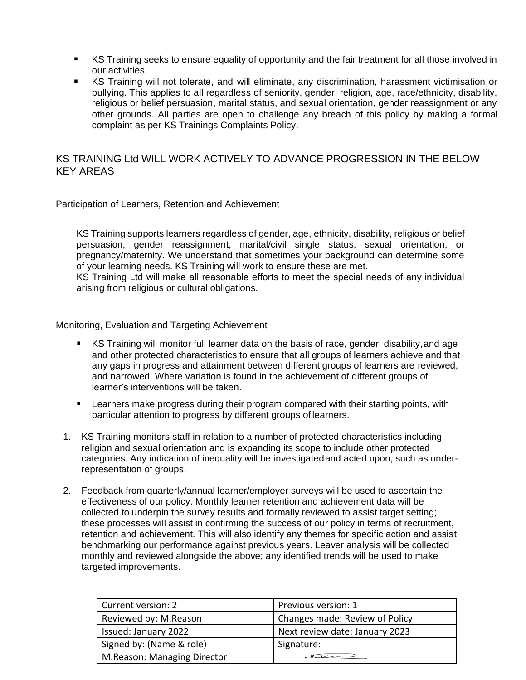- KS Training seeks to ensure equality of opportunity and the fair treatment for all those involved in our activities.
- KS Training will not tolerate, and will eliminate, any discrimination, harassment victimisation or bullying. This applies to all regardless of seniority, gender, religion, age, race/ethnicity, disability, religious or belief persuasion, marital status, and sexual orientation, gender reassignment or any other grounds. All parties are open to challenge any breach of this policy by making a formal complaint as per KS Trainings Complaints Policy.

## KS TRAINING Ltd WILL WORK ACTIVELY TO ADVANCE PROGRESSION IN THE BELOW KEY AREAS

#### Participation of Learners, Retention and Achievement

KS Training supports learners regardless of gender, age, ethnicity, disability, religious or belief persuasion, gender reassignment, marital/civil single status, sexual orientation, or pregnancy/maternity. We understand that sometimes your background can determine some of your learning needs. KS Training will work to ensure these are met.

KS Training Ltd will make all reasonable efforts to meet the special needs of any individual arising from religious or cultural obligations.

#### Monitoring, Evaluation and Targeting Achievement

- KS Training will monitor full learner data on the basis of race, gender, disability, and age and other protected characteristics to ensure that all groups of learners achieve and that any gaps in progress and attainment between different groups of learners are reviewed, and narrowed. Where variation is found in the achievement of different groups of learner's interventions will be taken.
- **EXECT** Learners make progress during their program compared with their starting points, with particular attention to progress by different groups of learners.
- 1. KS Training monitors staff in relation to a number of protected characteristics including religion and sexual orientation and is expanding its scope to include other protected categories. Any indication of inequality will be investigatedand acted upon, such as underrepresentation of groups.
- 2. Feedback from quarterly/annual learner/employer surveys will be used to ascertain the effectiveness of our policy. Monthly learner retention and achievement data will be collected to underpin the survey results and formally reviewed to assist target setting; these processes will assist in confirming the success of our policy in terms of recruitment, retention and achievement. This will also identify any themes for specific action and assist benchmarking our performance against previous years. Leaver analysis will be collected monthly and reviewed alongside the above; any identified trends will be used to make targeted improvements.

| Current version: 2          | Previous version: 1            |
|-----------------------------|--------------------------------|
| Reviewed by: M.Reason       | Changes made: Review of Policy |
| Issued: January 2022        | Next review date: January 2023 |
| Signed by: (Name & role)    | Signature:                     |
| M.Reason: Managing Director |                                |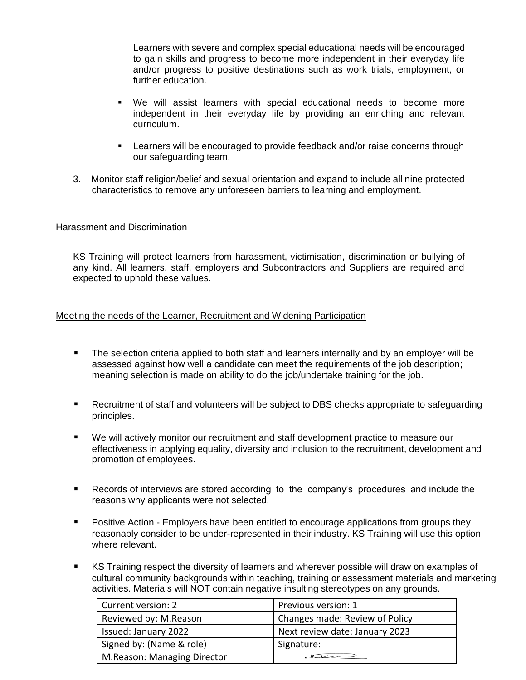Learners with severe and complex special educational needs will be encouraged to gain skills and progress to become more independent in their everyday life and/or progress to positive destinations such as work trials, employment, or further education.

- We will assist learners with special educational needs to become more independent in their everyday life by providing an enriching and relevant curriculum.
- Learners will be encouraged to provide feedback and/or raise concerns through our safeguarding team.
- 3. Monitor staff religion/belief and sexual orientation and expand to include all nine protected characteristics to remove any unforeseen barriers to learning and employment.

## Harassment and Discrimination

KS Training will protect learners from harassment, victimisation, discrimination or bullying of any kind. All learners, staff, employers and Subcontractors and Suppliers are required and expected to uphold these values.

## Meeting the needs of the Learner, Recruitment and Widening Participation

- The selection criteria applied to both staff and learners internally and by an employer will be assessed against how well a candidate can meet the requirements of the job description; meaning selection is made on ability to do the job/undertake training for the job.
- Recruitment of staff and volunteers will be subject to DBS checks appropriate to safeguarding principles.
- We will actively monitor our recruitment and staff development practice to measure our effectiveness in applying equality, diversity and inclusion to the recruitment, development and promotion of employees.
- Records of interviews are stored according to the company's procedures and include the reasons why applicants were not selected.
- Positive Action Employers have been entitled to encourage applications from groups they reasonably consider to be under-represented in their industry. KS Training will use this option where relevant.
- KS Training respect the diversity of learners and wherever possible will draw on examples of cultural community backgrounds within teaching, training or assessment materials and marketing activities. Materials will NOT contain negative insulting stereotypes on any grounds.

| Current version: 2          | Previous version: 1            |
|-----------------------------|--------------------------------|
| Reviewed by: M.Reason       | Changes made: Review of Policy |
| Issued: January 2022        | Next review date: January 2023 |
| Signed by: (Name & role)    | Signature:                     |
| M.Reason: Managing Director |                                |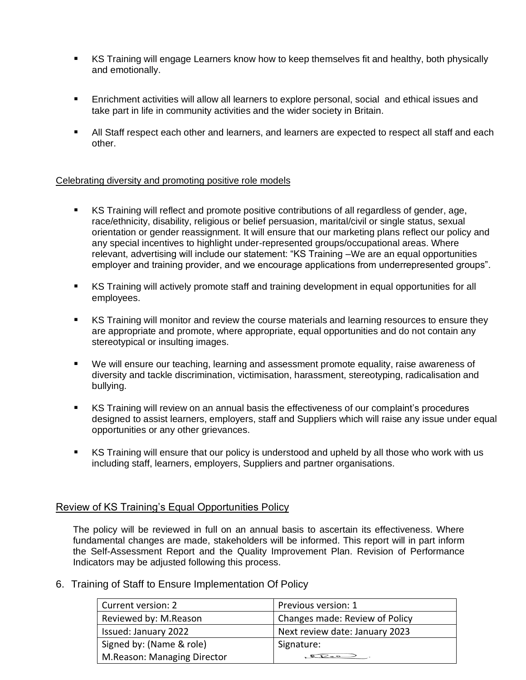- KS Training will engage Learners know how to keep themselves fit and healthy, both physically and emotionally.
- Enrichment activities will allow all learners to explore personal, social and ethical issues and take part in life in community activities and the wider society in Britain.
- All Staff respect each other and learners, and learners are expected to respect all staff and each other.

## Celebrating diversity and promoting positive role models

- KS Training will reflect and promote positive contributions of all regardless of gender, age, race/ethnicity, disability, religious or belief persuasion, marital/civil or single status, sexual orientation or gender reassignment. It will ensure that our marketing plans reflect our policy and any special incentives to highlight under-represented groups/occupational areas. Where relevant, advertising will include our statement: "KS Training –We are an equal opportunities employer and training provider, and we encourage applications from underrepresented groups".
- KS Training will actively promote staff and training development in equal opportunities for all employees.
- KS Training will monitor and review the course materials and learning resources to ensure they are appropriate and promote, where appropriate, equal opportunities and do not contain any stereotypical or insulting images.
- We will ensure our teaching, learning and assessment promote equality, raise awareness of diversity and tackle discrimination, victimisation, harassment, stereotyping, radicalisation and bullying.
- KS Training will review on an annual basis the effectiveness of our complaint's procedures designed to assist learners, employers, staff and Suppliers which will raise any issue under equal opportunities or any other grievances.
- KS Training will ensure that our policy is understood and upheld by all those who work with us including staff, learners, employers, Suppliers and partner organisations.

## Review of KS Training's Equal Opportunities Policy

The policy will be reviewed in full on an annual basis to ascertain its effectiveness. Where fundamental changes are made, stakeholders will be informed. This report will in part inform the Self-Assessment Report and the Quality Improvement Plan. Revision of Performance Indicators may be adjusted following this process.

6. Training of Staff to Ensure Implementation Of Policy

| Current version: 2          | Previous version: 1            |
|-----------------------------|--------------------------------|
| Reviewed by: M.Reason       | Changes made: Review of Policy |
| Issued: January 2022        | Next review date: January 2023 |
| Signed by: (Name & role)    | Signature:                     |
| M.Reason: Managing Director |                                |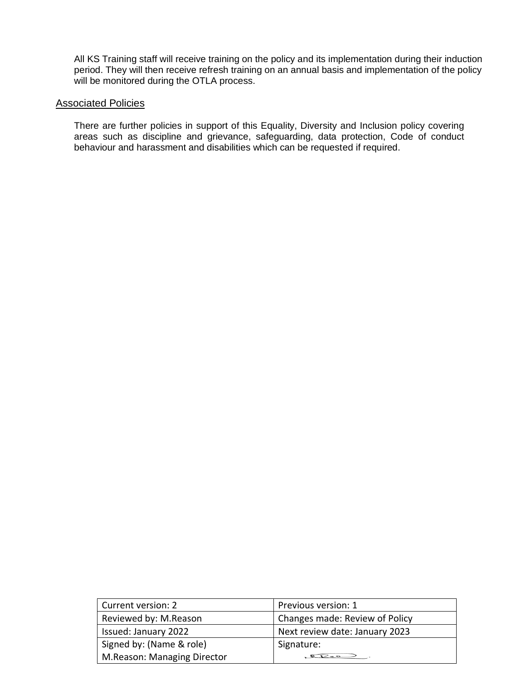All KS Training staff will receive training on the policy and its implementation during their induction period. They will then receive refresh training on an annual basis and implementation of the policy will be monitored during the OTLA process.

## Associated Policies

There are further policies in support of this Equality, Diversity and Inclusion policy covering areas such as discipline and grievance, safeguarding, data protection, Code of conduct behaviour and harassment and disabilities which can be requested if required.

| Current version: 2          | Previous version: 1            |
|-----------------------------|--------------------------------|
| Reviewed by: M.Reason       | Changes made: Review of Policy |
| Issued: January 2022        | Next review date: January 2023 |
| Signed by: (Name & role)    | Signature:                     |
| M.Reason: Managing Director |                                |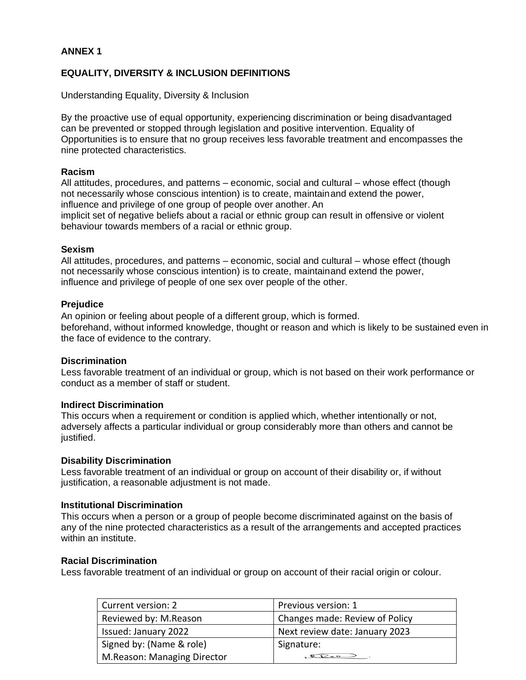## **ANNEX 1**

## **EQUALITY, DIVERSITY & INCLUSION DEFINITIONS**

Understanding Equality, Diversity & Inclusion

By the proactive use of equal opportunity, experiencing discrimination or being disadvantaged can be prevented or stopped through legislation and positive intervention. Equality of Opportunities is to ensure that no group receives less favorable treatment and encompasses the nine protected characteristics.

#### **Racism**

All attitudes, procedures, and patterns – economic, social and cultural – whose effect (though not necessarily whose conscious intention) is to create, maintainand extend the power, influence and privilege of one group of people over another. An implicit set of negative beliefs about a racial or ethnic group can result in offensive or violent behaviour towards members of a racial or ethnic group.

## **Sexism**

All attitudes, procedures, and patterns – economic, social and cultural – whose effect (though not necessarily whose conscious intention) is to create, maintainand extend the power, influence and privilege of people of one sex over people of the other.

## **Prejudice**

An opinion or feeling about people of a different group, which is formed. beforehand, without informed knowledge, thought or reason and which is likely to be sustained even in the face of evidence to the contrary.

#### **Discrimination**

Less favorable treatment of an individual or group, which is not based on their work performance or conduct as a member of staff or student.

## **Indirect Discrimination**

This occurs when a requirement or condition is applied which, whether intentionally or not, adversely affects a particular individual or group considerably more than others and cannot be justified.

#### **Disability Discrimination**

Less favorable treatment of an individual or group on account of their disability or, if without justification, a reasonable adjustment is not made.

## **Institutional Discrimination**

This occurs when a person or a group of people become discriminated against on the basis of any of the nine protected characteristics as a result of the arrangements and accepted practices within an institute.

#### **Racial Discrimination**

Less favorable treatment of an individual or group on account of their racial origin or colour.

| Current version: 2          | Previous version: 1            |
|-----------------------------|--------------------------------|
| Reviewed by: M.Reason       | Changes made: Review of Policy |
| Issued: January 2022        | Next review date: January 2023 |
| Signed by: (Name & role)    | Signature:                     |
| M.Reason: Managing Director | $Q_{P-2}$                      |